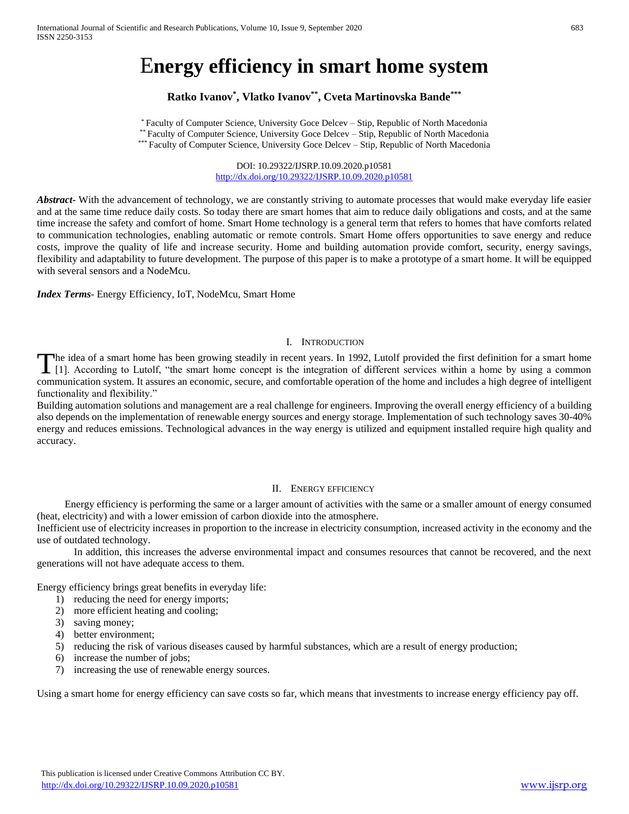# E**nergy efficiency in smart home system**

# **Ratko Ivanov\* , Vlatko Ivanov\*\* , Cveta Martinovska Bande\*\*\***

\* Faculty of Computer Science, University Goce Delcev – Stip, Republic of North Macedonia \*\* Faculty of Computer Science, University Goce Delcev – Stip, Republic of North Macedonia \*\*\* Faculty of Computer Science, University Goce Delcev – Stip, Republic of North Macedonia

> DOI: 10.29322/IJSRP.10.09.2020.p10581 <http://dx.doi.org/10.29322/IJSRP.10.09.2020.p10581>

*Abstract* With the advancement of technology, we are constantly striving to automate processes that would make everyday life easier and at the same time reduce daily costs. So today there are smart homes that aim to reduce daily obligations and costs, and at the same time increase the safety and comfort of home. Smart Home technology is a general term that refers to homes that have comforts related to communication technologies, enabling automatic or remote controls. Smart Home offers opportunities to save energy and reduce costs, improve the quality of life and increase security. Home and building automation provide comfort, security, energy savings, flexibility and adaptability to future development. The purpose of this paper is to make a prototype of a smart home. It will be equipped with several sensors and a NodeMcu.

*Index Terms*- Energy Efficiency, IoT, NodeMcu, Smart Home

## I. INTRODUCTION

he idea of a smart home has been growing steadily in recent years. In 1992, Lutolf provided the first definition for a smart home The idea of a smart home has been growing steadily in recent years. In 1992, Lutolf provided the first definition for a smart home [1]. According to Lutolf, "the smart home concept is the integration of different services communication system. It assures an economic, secure, and comfortable operation of the home and includes a high degree of intelligent functionality and flexibility."

Building automation solutions and management are a real challenge for engineers. Improving the overall energy efficiency of a building also depends on the implementation of renewable energy sources and energy storage. Implementation of such technology saves 30-40% energy and reduces emissions. Technological advances in the way energy is utilized and equipment installed require high quality and accuracy.

#### II. ENERGY EFFICIENCY

Energy efficiency is performing the same or a larger amount of activities with the same or a smaller amount of energy consumed (heat, electricity) and with a lower emission of carbon dioxide into the atmosphere.

Inefficient use of electricity increases in proportion to the increase in electricity consumption, increased activity in the economy and the use of outdated technology.

In addition, this increases the adverse environmental impact and consumes resources that cannot be recovered, and the next generations will not have adequate access to them.

Energy efficiency brings great benefits in everyday life:

- 1) reducing the need for energy imports;
- 2) more efficient heating and cooling;
- 3) saving money;
- 4) better environment;
- 5) reducing the risk of various diseases caused by harmful substances, which are a result of energy production;
- 6) increase the number of jobs;
- 7) increasing the use of renewable energy sources.

Using a smart home for energy efficiency can save costs so far, which means that investments to increase energy efficiency pay off.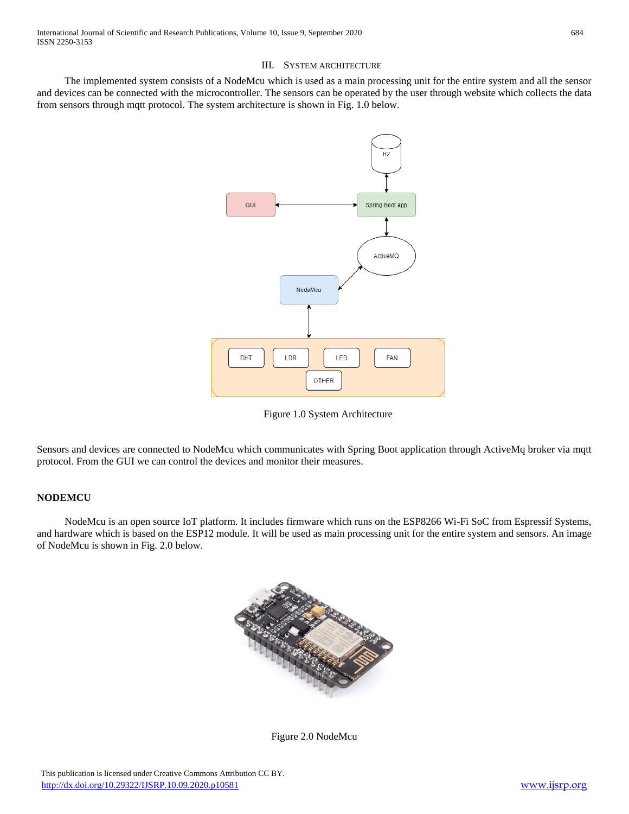# III. SYSTEM ARCHITECTURE

The implemented system consists of a NodeMcu which is used as a main processing unit for the entire system and all the sensor and devices can be connected with the microcontroller. The sensors can be operated by the user through website which collects the data from sensors through mqtt protocol. The system architecture is shown in Fig. 1.0 below.



Figure 1.0 System Architecture

Sensors and devices are connected to NodeMcu which communicates with Spring Boot application through ActiveMq broker via mqtt protocol. From the GUI we can control the devices and monitor their measures.

#### **NODEMCU**

NodeMcu is an open source IoT platform. It includes firmware which runs on the ESP8266 Wi-Fi SoC from Espressif Systems, and hardware which is based on the ESP12 module. It will be used as main processing unit for the entire system and sensors. An image of NodeMcu is shown in Fig. 2.0 below.



Figure 2.0 NodeMcu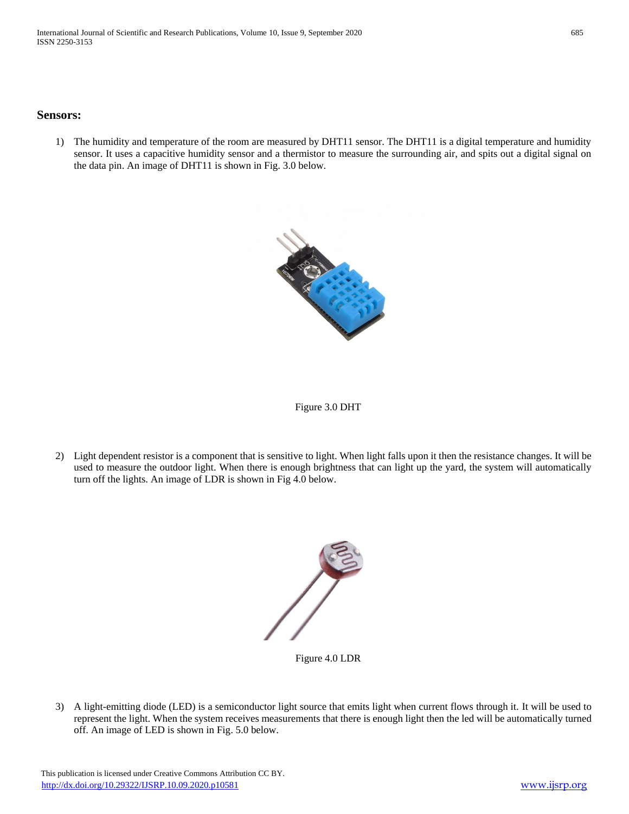## **Sensors:**

1) The humidity and temperature of the room are measured by DHT11 sensor. The DHT11 is a digital temperature and humidity sensor. It uses a capacitive humidity sensor and a thermistor to measure the surrounding air, and spits out a digital signal on the data pin. An image of DHT11 is shown in Fig. 3.0 below.





2) Light dependent resistor is a component that is sensitive to light. When light falls upon it then the resistance changes. It will be used to measure the outdoor light. When there is enough brightness that can light up the yard, the system will automatically turn off the lights. An image of LDR is shown in Fig 4.0 below.



Figure 4.0 LDR

3) A light-emitting diode (LED) is a semiconductor light source that emits light when current flows through it. It will be used to represent the light. When the system receives measurements that there is enough light then the led will be automatically turned off. An image of LED is shown in Fig. 5.0 below.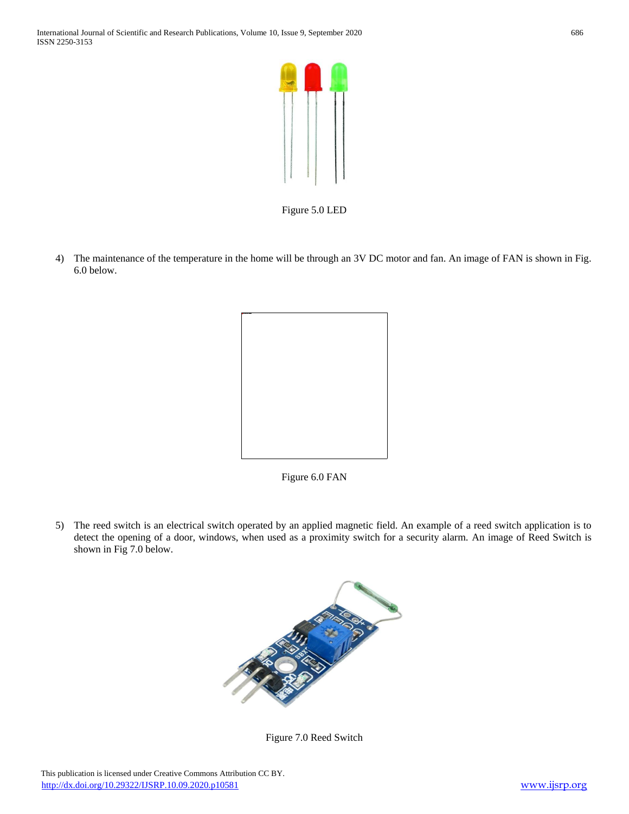

Figure 5.0 LED

4) The maintenance of the temperature in the home will be through an 3V DC motor and fan. An image of FAN is shown in Fig. 6.0 below.



Figure 6.0 FAN

5) The reed switch is an electrical switch operated by an applied magnetic field. An example of a reed switch application is to detect the opening of a door, windows, when used as a proximity switch for a security alarm. An image of Reed Switch is shown in Fig 7.0 below.



Figure 7.0 Reed Switch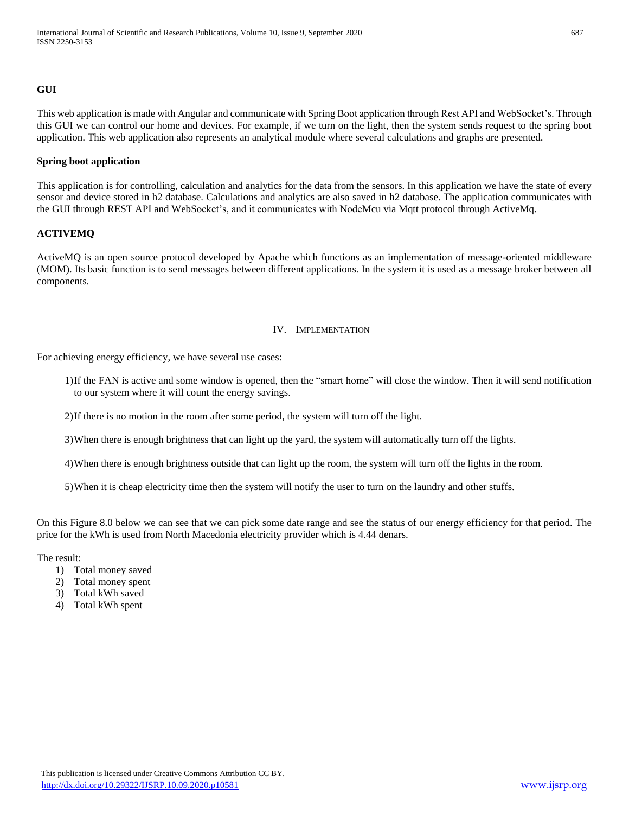## **GUI**

This web application is made with Angular and communicate with Spring Boot application through Rest API and WebSocket's. Through this GUI we can control our home and devices. For example, if we turn on the light, then the system sends request to the spring boot application. This web application also represents an analytical module where several calculations and graphs are presented.

#### **Spring boot application**

This application is for controlling, calculation and analytics for the data from the sensors. In this application we have the state of every sensor and device stored in h2 database. Calculations and analytics are also saved in h2 database. The application communicates with the GUI through REST API and WebSocket's, and it communicates with NodeMcu via Mqtt protocol through ActiveMq.

## **ACTIVEMQ**

ActiveMQ is an open source protocol developed by Apache which functions as an implementation of message-oriented middleware (MOM). Its basic function is to send messages between different applications. In the system it is used as a message broker between all components.

#### IV. IMPLEMENTATION

For achieving energy efficiency, we have several use cases:

- 1)If the FAN is active and some window is opened, then the "smart home" will close the window. Then it will send notification to our system where it will count the energy savings.
- 2)If there is no motion in the room after some period, the system will turn off the light.

3)When there is enough brightness that can light up the yard, the system will automatically turn off the lights.

4)When there is enough brightness outside that can light up the room, the system will turn off the lights in the room.

5)When it is cheap electricity time then the system will notify the user to turn on the laundry and other stuffs.

On this Figure 8.0 below we can see that we can pick some date range and see the status of our energy efficiency for that period. The price for the kWh is used from North Macedonia electricity provider which is 4.44 denars.

The result:

- 1) Total money saved
- 2) Total money spent
- 3) Total kWh saved
- 4) Total kWh spent